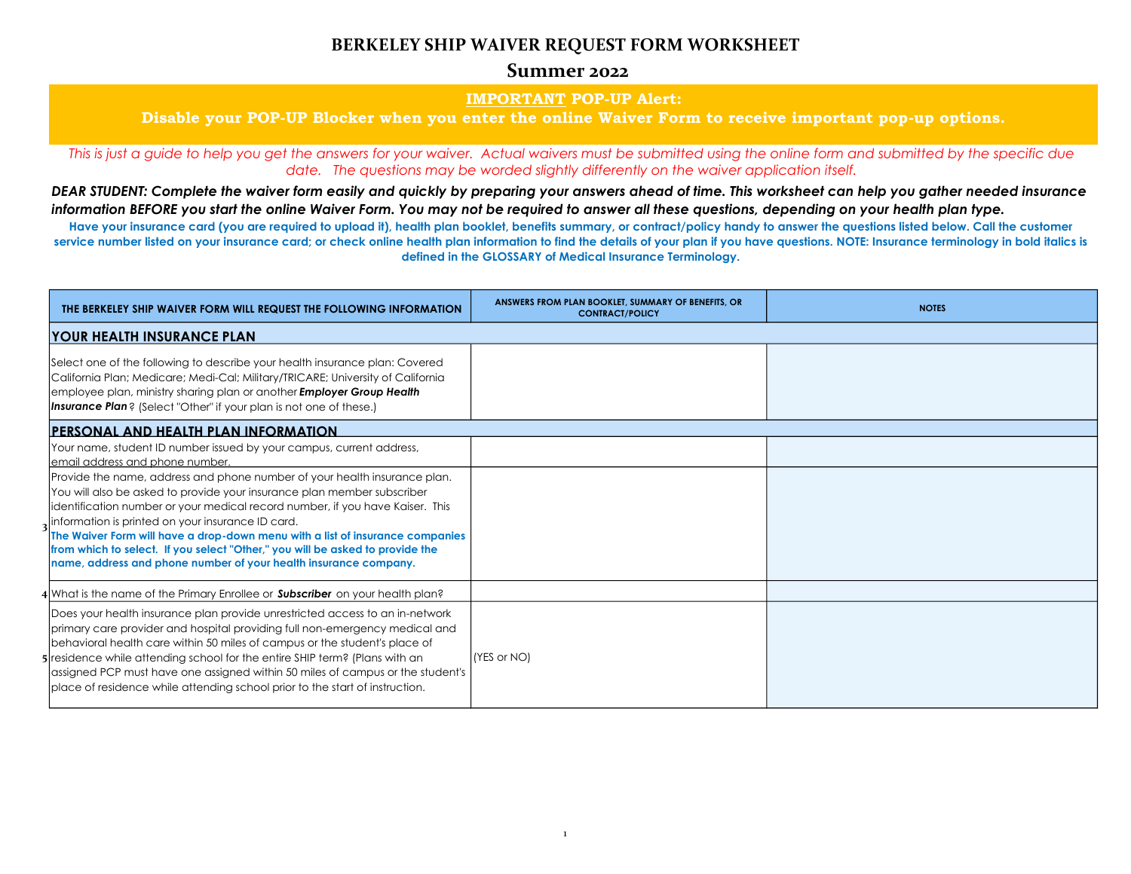# **BERKELEY SHIP WAIVER REQUEST FORM WORKSHEET**

### **Summer 2022**

### **IMPORTANT POP-UP Alert:**

### **Disable your POP-UP Blocker when you enter the online Waiver Form to receive important pop-up options.**

*This is just a guide to help you get the answers for your waiver. Actual waivers must be submitted using the online form and submitted by the specific due date. The questions may be worded slightly differently on the waiver application itself.*

Have your insurance card (you are required to upload it), health plan booklet, benefits summary, or contract/policy handy to answer the questions listed below. Call the customer **service number listed on your insurance card; or check online health plan information to find the details of your plan if you have questions. NOTE: Insurance terminology in bold italics is defined in the GLOSSARY of Medical Insurance Terminology.**

*DEAR STUDENT: Complete the waiver form easily and quickly by preparing your answers ahead of time. This worksheet can help you gather needed insurance information BEFORE you start the online Waiver Form. You may not be required to answer all these questions, depending on your health plan type.*

| THE BERKELEY SHIP WAIVER FORM WILL REQUEST THE FOLLOWING INFORMATION                                                                                                                                                                                                                                                                                                                                                                                                                                                             | ANSWERS FROM PLAN BOOKLET, SUMMARY OF BENEFITS, OR<br><b>CONTRACT/POLICY</b> | <b>NOTES</b> |
|----------------------------------------------------------------------------------------------------------------------------------------------------------------------------------------------------------------------------------------------------------------------------------------------------------------------------------------------------------------------------------------------------------------------------------------------------------------------------------------------------------------------------------|------------------------------------------------------------------------------|--------------|
| <b>YOUR HEALTH INSURANCE PLAN</b>                                                                                                                                                                                                                                                                                                                                                                                                                                                                                                |                                                                              |              |
| Select one of the following to describe your health insurance plan: Covered<br>California Plan; Medicare; Medi-Cal; Military/TRICARE; University of California<br>employee plan, ministry sharing plan or another Employer Group Health<br><b>Insurance Plan</b> ? (Select "Other" if your plan is not one of these.)                                                                                                                                                                                                            |                                                                              |              |
| <b>PERSONAL AND HEALTH PLAN INFORMATION</b>                                                                                                                                                                                                                                                                                                                                                                                                                                                                                      |                                                                              |              |
| Your name, student ID number issued by your campus, current address,<br>email address and phone number.                                                                                                                                                                                                                                                                                                                                                                                                                          |                                                                              |              |
| Provide the name, address and phone number of your health insurance plan.<br>You will also be asked to provide your insurance plan member subscriber<br>identification number or your medical record number, if you have Kaiser. This<br>information is printed on your insurance ID card.<br>The Waiver Form will have a drop-down menu with a list of insurance companies<br>from which to select. If you select "Other," you will be asked to provide the<br>name, address and phone number of your health insurance company. |                                                                              |              |
| 4 What is the name of the Primary Enrollee or <b>Subscriber</b> on your health plan?                                                                                                                                                                                                                                                                                                                                                                                                                                             |                                                                              |              |
| Does your health insurance plan provide unrestricted access to an in-network<br>primary care provider and hospital providing full non-emergency medical and<br>behavioral health care within 50 miles of campus or the student's place of<br>residence while attending school for the entire SHIP term? (Plans with an<br>assigned PCP must have one assigned within 50 miles of campus or the student's<br>place of residence while attending school prior to the start of instruction.                                         | (YES or NO)                                                                  |              |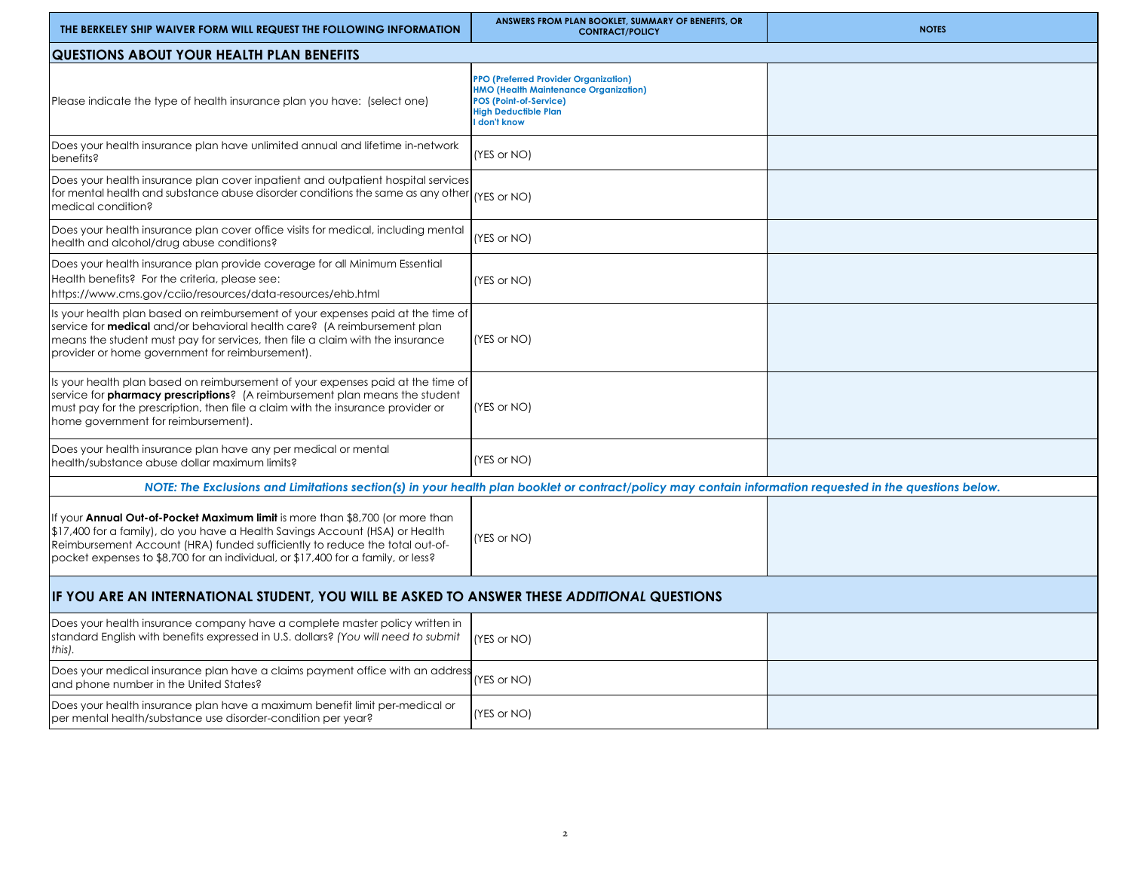| THE BERKELEY SHIP WAIVER FORM WILL REQUEST THE FOLLOWING INFORMATION                                                                                                                                                                                                                                                                    | ANSWERS FROM PLAN BOOKLET, SUMMARY OF BENEFITS, OR<br><b>CONTRACT/POLICY</b>                                                                                                 | <b>NOTES</b> |  |  |
|-----------------------------------------------------------------------------------------------------------------------------------------------------------------------------------------------------------------------------------------------------------------------------------------------------------------------------------------|------------------------------------------------------------------------------------------------------------------------------------------------------------------------------|--------------|--|--|
| QUESTIONS ABOUT YOUR HEALTH PLAN BENEFITS                                                                                                                                                                                                                                                                                               |                                                                                                                                                                              |              |  |  |
| Please indicate the type of health insurance plan you have: (select one)                                                                                                                                                                                                                                                                | <b>PPO (Preferred Provider Organization)</b><br><b>HMO (Health Maintenance Organization)</b><br><b>POS (Point-of-Service)</b><br><b>High Deductible Plan</b><br>I don't know |              |  |  |
| Does your health insurance plan have unlimited annual and lifetime in-network<br>benefits?                                                                                                                                                                                                                                              | (YES or NO)                                                                                                                                                                  |              |  |  |
| Does your health insurance plan cover inpatient and outpatient hospital services<br>for mental health and substance abuse disorder conditions the same as any other $_{\rm (YES~or~NO)}$<br>medical condition?                                                                                                                          |                                                                                                                                                                              |              |  |  |
| Does your health insurance plan cover office visits for medical, including mental<br>health and alcohol/drug abuse conditions?                                                                                                                                                                                                          | (YES or NO)                                                                                                                                                                  |              |  |  |
| Does your health insurance plan provide coverage for all Minimum Essential<br>Health benefits? For the criteria, please see:<br>https://www.cms.gov/cciio/resources/data-resources/ehb.html                                                                                                                                             | (YES or NO)                                                                                                                                                                  |              |  |  |
| Is your health plan based on reimbursement of your expenses paid at the time of<br>service for <b>medical</b> and/or behavioral health care? (A reimbursement plan<br>means the student must pay for services, then file a claim with the insurance<br>provider or home government for reimbursement).                                  | (YES or NO)                                                                                                                                                                  |              |  |  |
| Is your health plan based on reimbursement of your expenses paid at the time of<br>service for <b>pharmacy prescriptions</b> ? (A reimbursement plan means the student<br>must pay for the prescription, then file a claim with the insurance provider or<br>home government for reimbursement).                                        | (YES or NO)                                                                                                                                                                  |              |  |  |
| Does your health insurance plan have any per medical or mental<br>health/substance abuse dollar maximum limits?                                                                                                                                                                                                                         | (YES or NO)                                                                                                                                                                  |              |  |  |
| NOTE: The Exclusions and Limitations section(s) in your health plan booklet or contract/policy may contain information requested in the questions below.                                                                                                                                                                                |                                                                                                                                                                              |              |  |  |
| If your <b>Annual Out-of-Pocket Maximum limit</b> is more than \$8,700 (or more than<br>\$17,400 for a family), do you have a Health Savings Account (HSA) or Health<br>Reimbursement Account (HRA) funded sufficiently to reduce the total out-of-<br>pocket expenses to \$8,700 for an individual, or \$17,400 for a family, or less? | (YES or NO)                                                                                                                                                                  |              |  |  |
| IF YOU ARE AN INTERNATIONAL STUDENT, YOU WILL BE ASKED TO ANSWER THESE ADDITIONAL QUESTIONS                                                                                                                                                                                                                                             |                                                                                                                                                                              |              |  |  |
| Does your health insurance company have a complete master policy written in<br>standard English with benefits expressed in U.S. dollars? (You will need to submit<br>this).                                                                                                                                                             | (YES or NO)                                                                                                                                                                  |              |  |  |
| Does your medical insurance plan have a claims payment office with an address<br>and phone number in the United States?                                                                                                                                                                                                                 | (YES or NO)                                                                                                                                                                  |              |  |  |
| Does your health insurance plan have a maximum benefit limit per-medical or<br>per mental health/substance use disorder-condition per year?                                                                                                                                                                                             | (YES or NO)                                                                                                                                                                  |              |  |  |